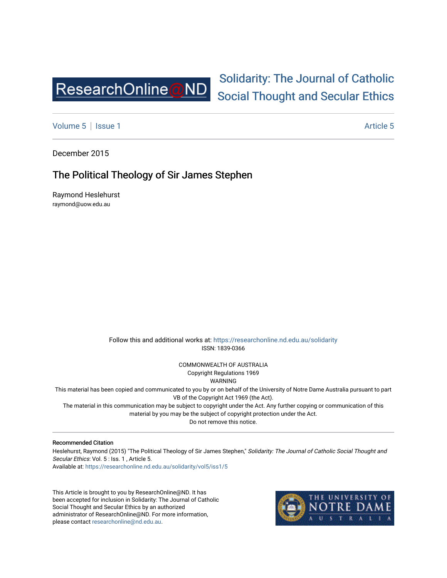

# [Solidarity: The Journal of Catholic](https://researchonline.nd.edu.au/solidarity)  [Social Thought and Secular Ethics](https://researchonline.nd.edu.au/solidarity)

[Volume 5](https://researchonline.nd.edu.au/solidarity/vol5) | [Issue 1](https://researchonline.nd.edu.au/solidarity/vol5/iss1) Article 5

December 2015

# The Political Theology of Sir James Stephen

Raymond Heslehurst raymond@uow.edu.au

> Follow this and additional works at: [https://researchonline.nd.edu.au/solidarity](https://researchonline.nd.edu.au/solidarity?utm_source=researchonline.nd.edu.au%2Fsolidarity%2Fvol5%2Fiss1%2F5&utm_medium=PDF&utm_campaign=PDFCoverPages)  ISSN: 1839-0366

> > COMMONWEALTH OF AUSTRALIA Copyright Regulations 1969

WARNING

This material has been copied and communicated to you by or on behalf of the University of Notre Dame Australia pursuant to part VB of the Copyright Act 1969 (the Act).

The material in this communication may be subject to copyright under the Act. Any further copying or communication of this material by you may be the subject of copyright protection under the Act.

Do not remove this notice.

#### Recommended Citation

Heslehurst, Raymond (2015) "The Political Theology of Sir James Stephen," Solidarity: The Journal of Catholic Social Thought and Secular Ethics: Vol. 5 : Iss. 1, Article 5. Available at: [https://researchonline.nd.edu.au/solidarity/vol5/iss1/5](https://researchonline.nd.edu.au/solidarity/vol5/iss1/5?utm_source=researchonline.nd.edu.au%2Fsolidarity%2Fvol5%2Fiss1%2F5&utm_medium=PDF&utm_campaign=PDFCoverPages) 

This Article is brought to you by ResearchOnline@ND. It has been accepted for inclusion in Solidarity: The Journal of Catholic Social Thought and Secular Ethics by an authorized administrator of ResearchOnline@ND. For more information, please contact [researchonline@nd.edu.au.](mailto:researchonline@nd.edu.au)

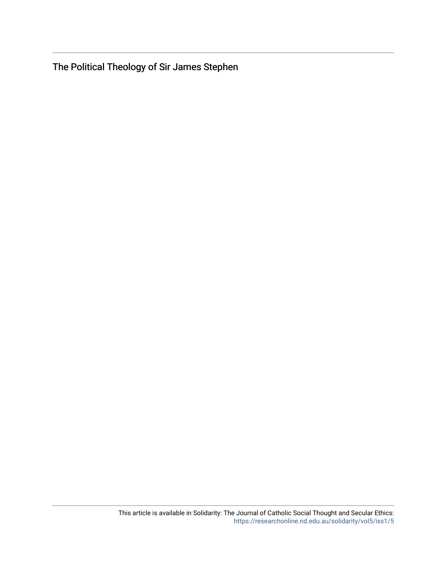The Political Theology of Sir James Stephen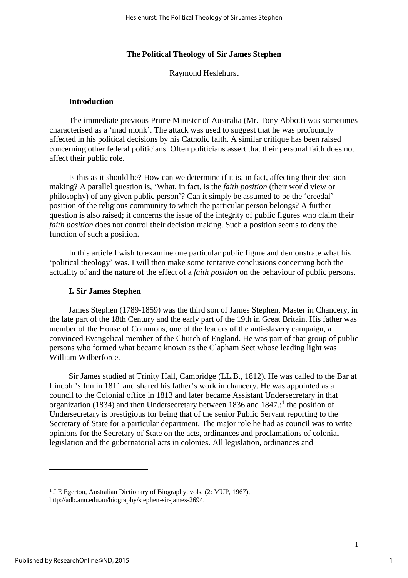#### **The Political Theology of Sir James Stephen**

Raymond Heslehurst

### **Introduction**

The immediate previous Prime Minister of Australia (Mr. Tony Abbott) was sometimes characterised as a 'mad monk'. The attack was used to suggest that he was profoundly affected in his political decisions by his Catholic faith. A similar critique has been raised concerning other federal politicians. Often politicians assert that their personal faith does not affect their public role.

Is this as it should be? How can we determine if it is, in fact, affecting their decisionmaking? A parallel question is, 'What, in fact, is the *faith position* (their world view or philosophy) of any given public person'? Can it simply be assumed to be the 'creedal' position of the religious community to which the particular person belongs? A further question is also raised; it concerns the issue of the integrity of public figures who claim their *faith position* does not control their decision making. Such a position seems to deny the function of such a position.

In this article I wish to examine one particular public figure and demonstrate what his 'political theology' was. I will then make some tentative conclusions concerning both the actuality of and the nature of the effect of a *faith position* on the behaviour of public persons.

#### **I. Sir James Stephen**

James Stephen (1789-1859) was the third son of James Stephen, Master in Chancery, in the late part of the 18th Century and the early part of the 19th in Great Britain. His father was member of the House of Commons, one of the leaders of the anti-slavery campaign, a convinced Evangelical member of the Church of England. He was part of that group of public persons who formed what became known as the Clapham Sect whose leading light was William Wilberforce.

Sir James studied at Trinity Hall, Cambridge (LL.B., 1812). He was called to the Bar at Lincoln's Inn in 1811 and shared his father's work in chancery. He was appointed as a council to the Colonial office in 1813 and later became Assistant Undersecretary in that organization (1834) and then Undersecretary between 1836 and 1847.; 1 the position of Undersecretary is prestigious for being that of the senior Public Servant reporting to the Secretary of State for a particular department. The major role he had as council was to write opinions for the Secretary of State on the acts, ordinances and proclamations of colonial legislation and the gubernatorial acts in colonies. All legislation, ordinances and

 $\overline{a}$ 

1

<sup>&</sup>lt;sup>1</sup> J E Egerton, Australian Dictionary of Biography, vols. (2: MUP, 1967), http://adb.anu.edu.au/biography/stephen-sir-james-2694.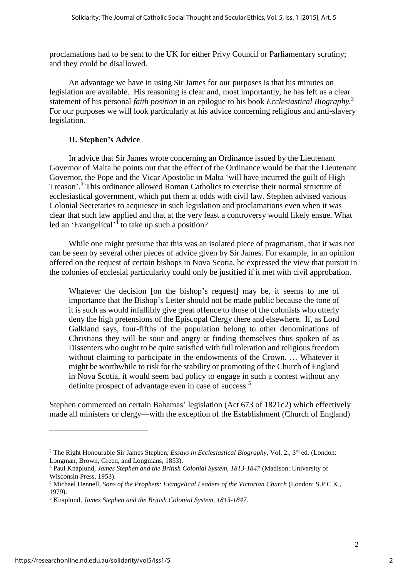proclamations had to be sent to the UK for either Privy Council or Parliamentary scrutiny; and they could be disallowed.

An advantage we have in using Sir James for our purposes is that his minutes on legislation are available. His reasoning is clear and, most importantly, he has left us a clear statement of his personal *faith position* in an epilogue to his book *Ecclesiastical Biography.*<sup>2</sup> For our purposes we will look particularly at his advice concerning religious and anti-slavery legislation.

# **II. Stephen's Advice**

In advice that Sir James wrote concerning an Ordinance issued by the Lieutenant Governor of Malta he points out that the effect of the Ordinance would be that the Lieutenant Governor, the Pope and the Vicar Apostolic in Malta 'will have incurred the guilt of High Treason'. <sup>3</sup> This ordinance allowed Roman Catholics to exercise their normal structure of ecclesiastical government, which put them at odds with civil law. Stephen advised various Colonial Secretaries to acquiesce in such legislation and proclamations even when it was clear that such law applied and that at the very least a controversy would likely ensue. What led an 'Evangelical'<sup>4</sup> to take up such a position?

While one might presume that this was an isolated piece of pragmatism, that it was not can be seen by several other pieces of advice given by Sir James. For example, in an opinion offered on the request of certain bishops in Nova Scotia, he expressed the view that pursuit in the colonies of ecclesial particularity could only be justified if it met with civil approbation.

Whatever the decision [on the bishop's request] may be, it seems to me of importance that the Bishop's Letter should not be made public because the tone of it is such as would infallibly give great offence to those of the colonists who utterly deny the high pretensions of the Episcopal Clergy there and elsewhere. If, as Lord Galkland says, four-fifths of the population belong to other denominations of Christians they will be sour and angry at finding themselves thus spoken of as Dissenters who ought to be quite satisfied with full toleration and religious freedom without claiming to participate in the endowments of the Crown. … Whatever it might be worthwhile to risk for the stability or promoting of the Church of England in Nova Scotia, it would seem bad policy to engage in such a contest without any definite prospect of advantage even in case of success.<sup>5</sup>

Stephen commented on certain Bahamas' legislation (Act 673 of 1821c2) which effectively made all ministers or clergy—with the exception of the Establishment (Church of England)

<sup>2</sup> The Right Honourable Sir James Stephen, *Essays in Ecclesiastical Biography,* Vol. 2., 3 rd ed. (London: Longman, Brown, Green, and Longmans, 1853).

<sup>3</sup> Paul Knaplund, *James Stephen and the British Colonial System*, *1813-1847* (Madison: University of Wisconsin Press, 1953).

<sup>4</sup> Michael Hennell, *Sons of the Prophets: Evangelical Leaders of the Victorian Church* (London: S.P.C.K., 1979).

<sup>5</sup> Knaplund, *James Stephen and the British Colonial System, 1813-1847.*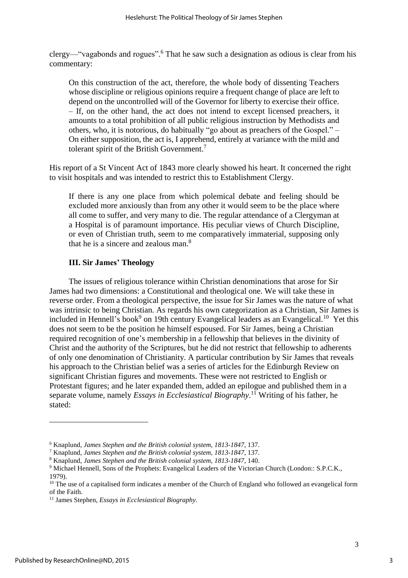clergy—"vagabonds and rogues". <sup>6</sup> That he saw such a designation as odious is clear from his commentary:

On this construction of the act, therefore, the whole body of dissenting Teachers whose discipline or religious opinions require a frequent change of place are left to depend on the uncontrolled will of the Governor for liberty to exercise their office. – If, on the other hand, the act does not intend to except licensed preachers, it amounts to a total prohibition of all public religious instruction by Methodists and others, who, it is notorious, do habitually "go about as preachers of the Gospel." – On either supposition, the act is, I apprehend, entirely at variance with the mild and tolerant spirit of the British Government.<sup>7</sup>

His report of a St Vincent Act of 1843 more clearly showed his heart. It concerned the right to visit hospitals and was intended to restrict this to Establishment Clergy.

If there is any one place from which polemical debate and feeling should be excluded more anxiously than from any other it would seem to be the place where all come to suffer, and very many to die. The regular attendance of a Clergyman at a Hospital is of paramount importance. His peculiar views of Church Discipline, or even of Christian truth, seem to me comparatively immaterial, supposing only that he is a sincere and zealous man. $8<sup>8</sup>$ 

# **III. Sir James' Theology**

The issues of religious tolerance within Christian denominations that arose for Sir James had two dimensions: a Constitutional and theological one. We will take these in reverse order. From a theological perspective, the issue for Sir James was the nature of what was intrinsic to being Christian. As regards his own categorization as a Christian, Sir James is included in Hennell's book<sup>9</sup> on 19th century Evangelical leaders as an Evangelical.<sup>10</sup> Yet this does not seem to be the position he himself espoused. For Sir James, being a Christian required recognition of one's membership in a fellowship that believes in the divinity of Christ and the authority of the Scriptures, but he did not restrict that fellowship to adherents of only one denomination of Christianity. A particular contribution by Sir James that reveals his approach to the Christian belief was a series of articles for the Edinburgh Review on significant Christian figures and movements. These were not restricted to English or Protestant figures; and he later expanded them, added an epilogue and published them in a separate volume, namely *Essays in Ecclesiastical Biography*. <sup>11</sup> Writing of his father, he stated:

<sup>6</sup> Knaplund, *James Stephen and the British colonial system, 1813-1847*, 137.

<sup>7</sup> Knaplund, *James Stephen and the British colonial system, 1813-1847*, 137.

<sup>8</sup> Knaplund, *James Stephen and the British colonial system, 1813-1847*, 140.

<sup>9</sup> Michael Hennell, Sons of the Prophets: Evangelical Leaders of the Victorian Church (London:: S.P.C.K., 1979).

<sup>&</sup>lt;sup>10</sup> The use of a capitalised form indicates a member of the Church of England who followed an evangelical form of the Faith.

<sup>11</sup> James Stephen, *Essays in Ecclesiastical Biography.*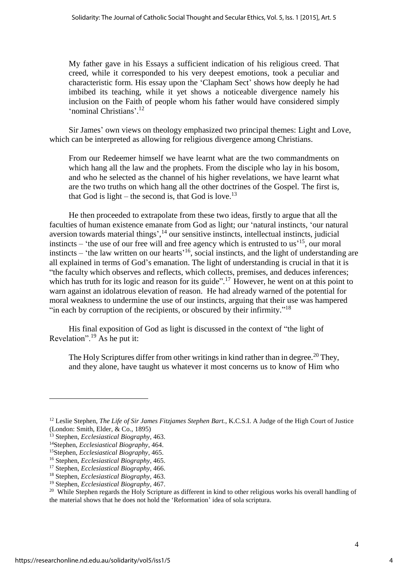My father gave in his Essays a sufficient indication of his religious creed. That creed, while it corresponded to his very deepest emotions, took a peculiar and characteristic form. His essay upon the 'Clapham Sect' shows how deeply he had imbibed its teaching, while it yet shows a noticeable divergence namely his inclusion on the Faith of people whom his father would have considered simply 'nominal Christians'. 12

Sir James' own views on theology emphasized two principal themes: Light and Love, which can be interpreted as allowing for religious divergence among Christians.

From our Redeemer himself we have learnt what are the two commandments on which hang all the law and the prophets. From the disciple who lay in his bosom, and who he selected as the channel of his higher revelations, we have learnt what are the two truths on which hang all the other doctrines of the Gospel. The first is, that God is light – the second is, that God is love.<sup>13</sup>

He then proceeded to extrapolate from these two ideas, firstly to argue that all the faculties of human existence emanate from God as light; our 'natural instincts, 'our natural aversion towards material things',<sup>14</sup> our sensitive instincts, intellectual instincts, judicial instincts – 'the use of our free will and free agency which is entrusted to us<sup>15</sup>, our moral instincts – 'the law written on our hearts'<sup>16</sup>, social instincts, and the light of understanding are all explained in terms of God's emanation. The light of understanding is crucial in that it is "the faculty which observes and reflects, which collects, premises, and deduces inferences; which has truth for its logic and reason for its guide".<sup>17</sup> However, he went on at this point to warn against an idolatrous elevation of reason. He had already warned of the potential for moral weakness to undermine the use of our instincts, arguing that their use was hampered "in each by corruption of the recipients, or obscured by their infirmity."<sup>18</sup>

His final exposition of God as light is discussed in the context of "the light of Revelation".<sup>19</sup> As he put it:

The Holy Scriptures differ from other writings in kind rather than in degree.<sup>20</sup> They, and they alone, have taught us whatever it most concerns us to know of Him who

<sup>12</sup> Leslie Stephen, *The Life of Sir James Fitzjames Stephen Bart.*, K.C.S.I. A Judge of the High Court of Justice (London: Smith, Elder, & Co., 1895)

<sup>13</sup> Stephen, *Ecclesiastical Biography*, 463.

<sup>14</sup>Stephen, *Ecclesiastical Biography*, 464.

<sup>15</sup>Stephen, *Ecclesiastical Biography*, 465.

<sup>16</sup> Stephen, *Ecclesiastical Biography*, 465.

<sup>17</sup> Stephen, *Ecclesiastical Biography*, 466.

<sup>18</sup> Stephen, *Ecclesiastical Biography*, 463.

<sup>19</sup> Stephen, *Ecclesiastical Biography*, 467.

 $20$  While Stephen regards the Holy Scripture as different in kind to other religious works his overall handling of the material shows that he does not hold the 'Reformation' idea of sola scriptura.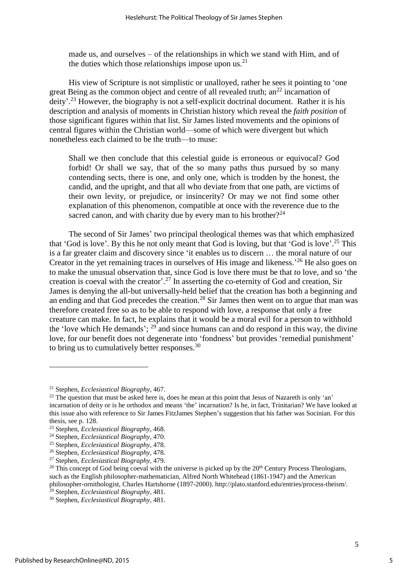made us, and ourselves – of the relationships in which we stand with Him, and of the duties which those relationships impose upon us.<sup>21</sup>

His view of Scripture is not simplistic or unalloyed, rather he sees it pointing to 'one great Being as the common object and centre of all revealed truth;  $an^{22}$  incarnation of deity'.<sup>23</sup> However, the biography is not a self-explicit doctrinal document. Rather it is his description and analysis of moments in Christian history which reveal the *faith position* of those significant figures within that list. Sir James listed movements and the opinions of central figures within the Christian world—some of which were divergent but which nonetheless each claimed to be the truth—to muse:

Shall we then conclude that this celestial guide is erroneous or equivocal? God forbid! Or shall we say, that of the so many paths thus pursued by so many contending sects, there is one, and only one, which is trodden by the honest, the candid, and the upright, and that all who deviate from that one path, are victims of their own levity, or prejudice, or insincerity? Or may we not find some other explanation of this phenomenon, compatible at once with the reverence due to the sacred canon, and with charity due by every man to his brother?<sup>24</sup>

The second of Sir James' two principal theological themes was that which emphasized that 'God is love'. By this he not only meant that God is loving, but that 'God is love'. <sup>25</sup> This is a far greater claim and discovery since 'it enables us to discern … the moral nature of our Creator in the yet remaining traces in ourselves of His image and likeness.<sup>26</sup> He also goes on to make the unusual observation that, since God is love there must be that *to* love, and so 'the creation is coeval with the creator'. <sup>27</sup> In asserting the co-eternity of God and creation, Sir James is denying the all-but universally-held belief that the creation has both a beginning and an ending and that God precedes the creation.<sup>28</sup> Sir James then went on to argue that man was therefore created free so as to be able to respond with love, a response that only a free creature can make. In fact, he explains that it would be a moral evil for a person to withhold the 'love which He demands';  $^{29}$  and since humans can and do respond in this way, the divine love, for our benefit does not degenerate into 'fondness' but provides 'remedial punishment' to bring us to cumulatively better responses.<sup>30</sup>

<sup>21</sup> Stephen, *Ecclesiastical Biography*, 467.

<sup>&</sup>lt;sup>22</sup> The question that must be asked here is, does he mean at this point that Jesus of Nazareth is only 'an' incarnation of deity or is he orthodox and means 'the' incarnation? Is he, in fact, Trinitarian? We have looked at this issue also with reference to Sir James FitzJames Stephen's suggestion that his father was Socinian. For this thesis, see p. 128.

<sup>23</sup> Stephen, *Ecclesiastical Biography*, 468.

<sup>24</sup> Stephen, *Ecclesiastical Biography*, 470.

<sup>25</sup> Stephen, *Ecclesiastical Biography*, 478.

<sup>26</sup> Stephen, *Ecclesiastical Biography*, 478.

<sup>27</sup> Stephen, *Ecclesiastical Biography*, 479.

<sup>&</sup>lt;sup>28</sup> This concept of God being coeval with the universe is picked up by the 20<sup>th</sup> Century Process Theologians, such as the English philosopher-mathematician, Alfred North Whitehead (1861-1947) and the American philosopher-ornithologist, Charles Hartshorne (1897-2000). [http://plato.stanford.edu/entries/process-theism/.](http://plato.stanford.edu/entries/process-theism/)

<sup>29</sup> Stephen, *Ecclesiastical Biography*, 481.

<sup>30</sup> Stephen, *Ecclesiastical Biography*, 481.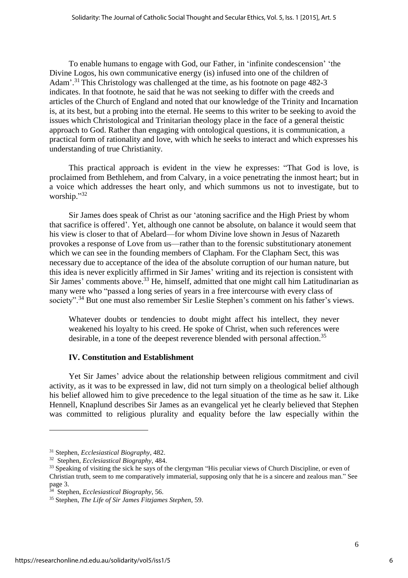To enable humans to engage with God, our Father, in 'infinite condescension' 'the Divine Logos, his own communicative energy (is) infused into one of the children of Adam'.<sup>31</sup> This Christology was challenged at the time, as his footnote on page 482-3 indicates. In that footnote, he said that he was not seeking to differ with the creeds and articles of the Church of England and noted that our knowledge of the Trinity and Incarnation is, at its best, but a probing into the eternal. He seems to this writer to be seeking to avoid the issues which Christological and Trinitarian theology place in the face of a general theistic approach to God. Rather than engaging with ontological questions, it is communication, a practical form of rationality and love, with which he seeks to interact and which expresses his understanding of true Christianity.

This practical approach is evident in the view he expresses: "That God is love, is proclaimed from Bethlehem, and from Calvary, in a voice penetrating the inmost heart; but in a voice which addresses the heart only, and which summons us not to investigate, but to worship." 32

Sir James does speak of Christ as our 'atoning sacrifice and the High Priest by whom that sacrifice is offered'. Yet, although one cannot be absolute, on balance it would seem that his view is closer to that of Abelard—for whom Divine love shown in Jesus of Nazareth provokes a response of Love from us—rather than to the forensic substitutionary atonement which we can see in the founding members of Clapham. For the Clapham Sect, this was necessary due to acceptance of the idea of the absolute corruption of our human nature, but this idea is never explicitly affirmed in Sir James' writing and its rejection is consistent with Sir James' comments above.<sup>33</sup> He, himself, admitted that one might call him Latitudinarian as many were who "passed a long series of years in a free intercourse with every class of society".<sup>34</sup> But one must also remember Sir Leslie Stephen's comment on his father's views.

Whatever doubts or tendencies to doubt might affect his intellect, they never weakened his loyalty to his creed. He spoke of Christ, when such references were desirable, in a tone of the deepest reverence blended with personal affection.<sup>35</sup>

### **IV. Constitution and Establishment**

Yet Sir James' advice about the relationship between religious commitment and civil activity, as it was to be expressed in law, did not turn simply on a theological belief although his belief allowed him to give precedence to the legal situation of the time as he saw it. Like Hennell, Knaplund describes Sir James as an evangelical yet he clearly believed that Stephen was committed to religious plurality and equality before the law especially within the

<sup>31</sup> Stephen, *Ecclesiastical Biography*, 482.

<sup>32</sup> Stephen, *Ecclesiastical Biography*, 484.

<sup>&</sup>lt;sup>33</sup> Speaking of visiting the sick he says of the clergyman "His peculiar views of Church Discipline, or even of Christian truth, seem to me comparatively immaterial, supposing only that he is a sincere and zealous man." See page 3.

<sup>34</sup> Stephen, *Ecclesiastical Biography*, 56.

<sup>35</sup> Stephen, *The Life of Sir James Fitzjames Stephen*, 59.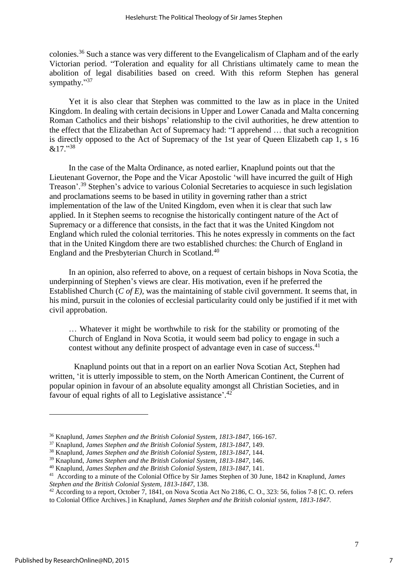colonies.<sup>36</sup> Such a stance was very different to the Evangelicalism of Clapham and of the early Victorian period. "Toleration and equality for all Christians ultimately came to mean the abolition of legal disabilities based on creed. With this reform Stephen has general sympathy."<sup>37</sup>

Yet it is also clear that Stephen was committed to the law as in place in the United Kingdom. In dealing with certain decisions in Upper and Lower Canada and Malta concerning Roman Catholics and their bishops' relationship to the civil authorities, he drew attention to the effect that the Elizabethan Act of Supremacy had: "I apprehend … that such a recognition is directly opposed to the Act of Supremacy of the 1st year of Queen Elizabeth cap 1, s 16  $&17.$ <sup>38</sup>

In the case of the Malta Ordinance, as noted earlier, Knaplund points out that the Lieutenant Governor, the Pope and the Vicar Apostolic 'will have incurred the guilt of High Treason'. <sup>39</sup> Stephen's advice to various Colonial Secretaries to acquiesce in such legislation and proclamations seems to be based in utility in governing rather than a strict implementation of the law of the United Kingdom, even when it is clear that such law applied. In it Stephen seems to recognise the historically contingent nature of the Act of Supremacy or a difference that consists, in the fact that it was the United Kingdom not England which ruled the colonial territories. This he notes expressly in comments on the fact that in the United Kingdom there are two established churches: the Church of England in England and the Presbyterian Church in Scotland.<sup>40</sup>

In an opinion, also referred to above, on a request of certain bishops in Nova Scotia, the underpinning of Stephen's views are clear. His motivation, even if he preferred the Established Church (*C of E),* was the maintaining of stable civil government. It seems that, in his mind, pursuit in the colonies of ecclesial particularity could only be justified if it met with civil approbation.

… Whatever it might be worthwhile to risk for the stability or promoting of the Church of England in Nova Scotia, it would seem bad policy to engage in such a contest without any definite prospect of advantage even in case of success.<sup>41</sup>

Knaplund points out that in a report on an earlier Nova Scotian Act, Stephen had written, 'it is utterly impossible to stem, on the North American Continent, the Current of popular opinion in favour of an absolute equality amongst all Christian Societies, and in favour of equal rights of all to Legislative assistance'.<sup>42</sup>

 $\overline{a}$ 

7

7

<sup>36</sup> Knaplund, *James Stephen and the British Colonial System, 1813-1847*, 166-167.

<sup>37</sup> Knaplund, *James Stephen and the British Colonial System, 1813-1847*, 149.

<sup>38</sup> Knaplund, *James Stephen and the British Colonial System, 1813-1847*, 144.

<sup>39</sup> Knaplund, *James Stephen and the British Colonial System, 1813-1847*, 146.

<sup>40</sup> Knaplund, *James Stephen and the British Colonial System, 1813-1847*, 141.

<sup>41</sup> According to a minute of the Colonial Office by Sir James Stephen of 30 June, 1842 in Knaplund, *James Stephen and the British Colonial System, 1813-1847*, 138.

<sup>&</sup>lt;sup>42</sup> According to a report, October 7, 1841, on Nova Scotia Act No 2186, C. O., 323: 56, folios 7-8 [C. O. refers to Colonial Office Archives.] in Knaplund, *James Stephen and the British colonial system, 1813-1847.*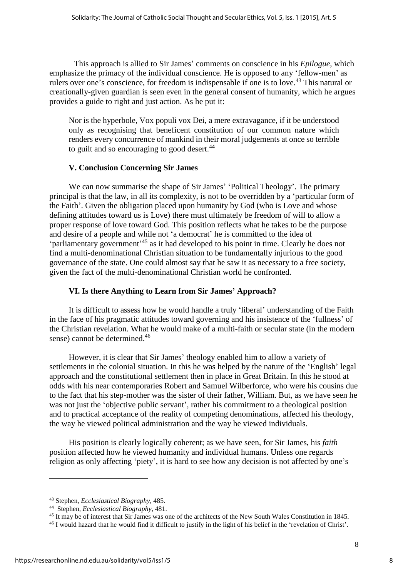This approach is allied to Sir James' comments on conscience in his *Epilogue*, which emphasize the primacy of the individual conscience. He is opposed to any 'fellow-men' as rulers over one's conscience, for freedom is indispensable if one is to love.<sup>43</sup> This natural or creationally-given guardian is seen even in the general consent of humanity, which he argues provides a guide to right and just action. As he put it:

Nor is the hyperbole, Vox populi vox Dei, a mere extravagance, if it be understood only as recognising that beneficent constitution of our common nature which renders every concurrence of mankind in their moral judgements at once so terrible to guilt and so encouraging to good desert.<sup>44</sup>

# **V. Conclusion Concerning Sir James**

We can now summarise the shape of Sir James' 'Political Theology'. The primary principal is that the law, in all its complexity, is not to be overridden by a 'particular form of the Faith'. Given the obligation placed upon humanity by God (who is Love and whose defining attitudes toward us is Love) there must ultimately be freedom of will to allow a proper response of love toward God. This position reflects what he takes to be the purpose and desire of a people and while not 'a democrat' he is committed to the idea of 'parliamentary government<sup>145</sup> as it had developed to his point in time. Clearly he does not find a multi-denominational Christian situation to be fundamentally injurious to the good governance of the state. One could almost say that he saw it as necessary to a free society, given the fact of the multi-denominational Christian world he confronted.

# **VI. Is there Anything to Learn from Sir James' Approach?**

It is difficult to assess how he would handle a truly 'liberal' understanding of the Faith in the face of his pragmatic attitudes toward governing and his insistence of the 'fullness' of the Christian revelation. What he would make of a multi-faith or secular state (in the modern sense) cannot be determined.<sup>46</sup>

However, it is clear that Sir James' theology enabled him to allow a variety of settlements in the colonial situation. In this he was helped by the nature of the 'English' legal approach and the constitutional settlement then in place in Great Britain. In this he stood at odds with his near contemporaries Robert and Samuel Wilberforce, who were his cousins due to the fact that his step-mother was the sister of their father, William. But, as we have seen he was not just the 'objective public servant', rather his commitment to a theological position and to practical acceptance of the reality of competing denominations, affected his theology, the way he viewed political administration and the way he viewed individuals.

His position is clearly logically coherent; as we have seen, for Sir James, his *faith* position affected how he viewed humanity and individual humans. Unless one regards religion as only affecting 'piety', it is hard to see how any decision is not affected by one's

<sup>43</sup> Stephen, *Ecclesiastical Biography*, 485.

<sup>44</sup> Stephen, *Ecclesiastical Biography*, 481.

<sup>45</sup> It may be of interest that Sir James was one of the architects of the New South Wales Constitution in 1845.

<sup>&</sup>lt;sup>46</sup> I would hazard that he would find it difficult to justify in the light of his belief in the 'revelation of Christ'.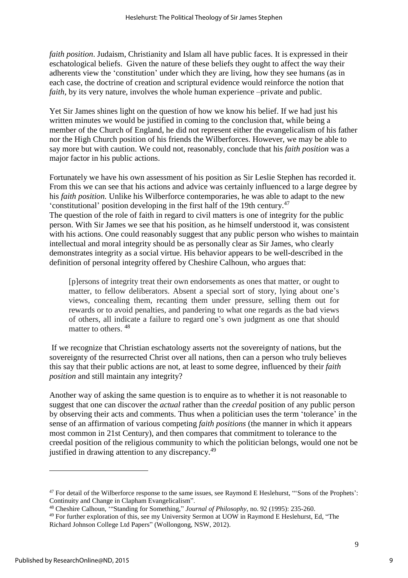*faith position*. Judaism, Christianity and Islam all have public faces. It is expressed in their eschatological beliefs. Given the nature of these beliefs they ought to affect the way their adherents view the 'constitution' under which they are living, how they see humans (as in each case, the doctrine of creation and scriptural evidence would reinforce the notion that *faith*, by its very nature, involves the whole human experience –private and public.

Yet Sir James shines light on the question of how we know his belief. If we had just his written minutes we would be justified in coming to the conclusion that, while being a member of the Church of England, he did not represent either the evangelicalism of his father nor the High Church position of his friends the Wilberforces. However, we may be able to say more but with caution. We could not, reasonably, conclude that his *faith position* was a major factor in his public actions.

Fortunately we have his own assessment of his position as Sir Leslie Stephen has recorded it. From this we can see that his actions and advice was certainly influenced to a large degree by his *faith position.* Unlike his Wilberforce contemporaries, he was able to adapt to the new 'constitutional' position developing in the first half of the 19th century.<sup>47</sup> The question of the role of faith in regard to civil matters is one of integrity for the public person. With Sir James we see that his position, as he himself understood it, was consistent with his actions. One could reasonably suggest that any public person who wishes to maintain intellectual and moral integrity should be as personally clear as Sir James, who clearly demonstrates integrity as a social virtue. His behavior appears to be well-described in the definition of personal integrity offered by Cheshire Calhoun, who argues that:

[p]ersons of integrity treat their own endorsements as ones that matter, or ought to matter, to fellow deliberators. Absent a special sort of story, lying about one's views, concealing them, recanting them under pressure, selling them out for rewards or to avoid penalties, and pandering to what one regards as the bad views of others, all indicate a failure to regard one's own judgment as one that should matter to others.<sup>48</sup>

If we recognize that Christian eschatology asserts not the sovereignty of nations, but the sovereignty of the resurrected Christ over all nations, then can a person who truly believes this say that their public actions are not, at least to some degree, influenced by their *faith position* and still maintain any integrity?

Another way of asking the same question is to enquire as to whether it is not reasonable to suggest that one can discover the *actual* rather than the *creedal* position of any public person by observing their acts and comments. Thus when a politician uses the term 'tolerance' in the sense of an affirmation of various competing *faith positions* (the manner in which it appears most common in 21st Century), and then compares that commitment to tolerance to the creedal position of the religious community to which the politician belongs, would one not be justified in drawing attention to any discrepancy.<sup>49</sup>

 $\overline{a}$ 

9

<sup>&</sup>lt;sup>47</sup> For detail of the Wilberforce response to the same issues, see Raymond E Heslehurst, "Sons of the Prophets': Continuity and Change in Clapham Evangelicalism".

<sup>48</sup> Cheshire Calhoun, '"Standing for Something," *Journal of Philosophy*, no. 92 (1995): 235-260.

<sup>49</sup> For further exploration of this, see my University Sermon at UOW in Raymond E Heslehurst, Ed, "The Richard Johnson College Ltd Papers" (Wollongong, NSW, 2012).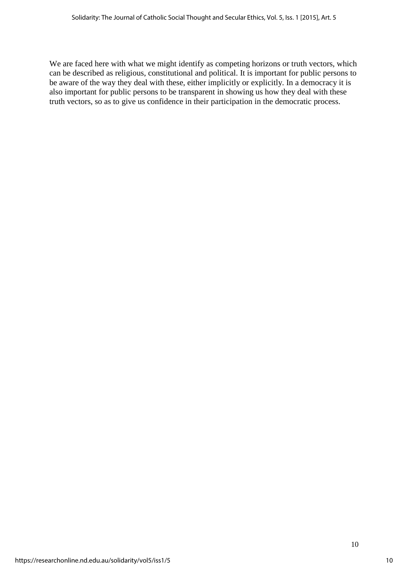We are faced here with what we might identify as competing horizons or truth vectors, which can be described as religious, constitutional and political. It is important for public persons to be aware of the way they deal with these, either implicitly or explicitly. In a democracy it is also important for public persons to be transparent in showing us how they deal with these truth vectors, so as to give us confidence in their participation in the democratic process.